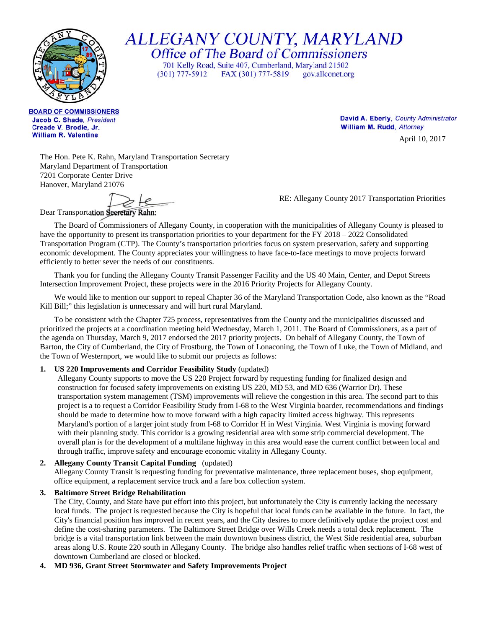

ALLEGANY COUNTY, MARYLAND<br>Office of The Board of Commissioners

701 Kelly Road, Suite 407, Cumberland, Maryland 21502  $(301)$  777-5912 FAX (301) 777-5819 gov.allconet.org

**BOARD OF COMMISSIONERS** Jacob C. Shade, President Creade V. Brodie, Jr. **William R. Valentine** 

David A. Eberly, County Administrator William M. Rudd, Attorney

April 10, 2017

The Hon. Pete K. Rahn, Maryland Transportation Secretary Maryland Department of Transportation 7201 Corporate Center Drive Hanover, Maryland 21076

RE: Allegany County 2017 Transportation Priorities

Dear Transportation Secretary Rahn:

The Board of Commissioners of Allegany County, in cooperation with the municipalities of Allegany County is pleased to have the opportunity to present its transportation priorities to your department for the FY 2018 – 2022 Consolidated Transportation Program (CTP). The County's transportation priorities focus on system preservation, safety and supporting economic development. The County appreciates your willingness to have face-to-face meetings to move projects forward efficiently to better sever the needs of our constituents.

Thank you for funding the Allegany County Transit Passenger Facility and the US 40 Main, Center, and Depot Streets Intersection Improvement Project, these projects were in the 2016 Priority Projects for Allegany County.

We would like to mention our support to repeal Chapter 36 of the Maryland Transportation Code, also known as the "Road" Kill Bill;" this legislation is unnecessary and will hurt rural Maryland.

To be consistent with the Chapter 725 process, representatives from the County and the municipalities discussed and prioritized the projects at a coordination meeting held Wednesday, March 1, 2011. The Board of Commissioners, as a part of the agenda on Thursday, March 9, 2017 endorsed the 2017 priority projects. On behalf of Allegany County, the Town of Barton, the City of Cumberland, the City of Frostburg, the Town of Lonaconing, the Town of Luke, the Town of Midland, and the Town of Westernport, we would like to submit our projects as follows:

# **1. US 220 Improvements and Corridor Feasibility Study** (updated)

Allegany County supports to move the US 220 Project forward by requesting funding for finalized design and construction for focused safety improvements on existing US 220, MD 53, and MD 636 (Warrior Dr). These transportation system management (TSM) improvements will relieve the congestion in this area. The second part to this project is a to request a Corridor Feasibility Study from I-68 to the West Virginia boarder, recommendations and findings should be made to determine how to move forward with a high capacity limited access highway. This represents Maryland's portion of a larger joint study from I-68 to Corridor H in West Virginia. West Virginia is moving forward with their planning study. This corridor is a growing residential area with some strip commercial development. The overall plan is for the development of a multilane highway in this area would ease the current conflict between local and through traffic, improve safety and encourage economic vitality in Allegany County.

# **2. Allegany County Transit Capital Funding** (updated)

Allegany County Transit is requesting funding for preventative maintenance, three replacement buses, shop equipment, office equipment, a replacement service truck and a fare box collection system.

### **3. Baltimore Street Bridge Rehabilitation**

The City, County, and State have put effort into this project, but unfortunately the City is currently lacking the necessary local funds. The project is requested because the City is hopeful that local funds can be available in the future. In fact, the City's financial position has improved in recent years, and the City desires to more definitively update the project cost and define the cost-sharing parameters. The Baltimore Street Bridge over Wills Creek needs a total deck replacement. The bridge is a vital transportation link between the main downtown business district, the West Side residential area, suburban areas along U.S. Route 220 south in Allegany County. The bridge also handles relief traffic when sections of I-68 west of downtown Cumberland are closed or blocked.

### **4. MD 936, Grant Street Stormwater and Safety Improvements Project**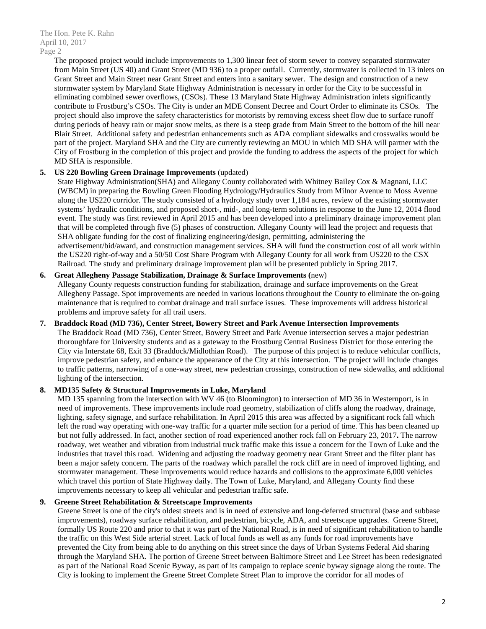The Hon. Pete K. Rahn April 10, 2017 Page 2

> The proposed project would include improvements to 1,300 linear feet of storm sewer to convey separated stormwater from Main Street (US 40) and Grant Street (MD 936) to a proper outfall. Currently, stormwater is collected in 13 inlets on Grant Street and Main Street near Grant Street and enters into a sanitary sewer. The design and construction of a new stormwater system by Maryland State Highway Administration is necessary in order for the City to be successful in eliminating combined sewer overflows, (CSOs). These 13 Maryland State Highway Administration inlets significantly contribute to Frostburg's CSOs. The City is under an MDE Consent Decree and Court Order to eliminate its CSOs. The project should also improve the safety characteristics for motorists by removing excess sheet flow due to surface runoff during periods of heavy rain or major snow melts, as there is a steep grade from Main Street to the bottom of the hill near Blair Street. Additional safety and pedestrian enhancements such as ADA compliant sidewalks and crosswalks would be part of the project. Maryland SHA and the City are currently reviewing an MOU in which MD SHA will partner with the City of Frostburg in the completion of this project and provide the funding to address the aspects of the project for which MD SHA is responsible.

## **5. US 220 Bowling Green Drainage Improvements** (updated)

State Highway Administration(SHA) and Allegany County collaborated with Whitney Bailey Cox & Magnani, LLC (WBCM) in preparing the Bowling Green Flooding Hydrology/Hydraulics Study from Milnor Avenue to Moss Avenue along the US220 corridor. The study consisted of a hydrology study over 1,184 acres, review of the existing stormwater systems' hydraulic conditions, and proposed short-, mid-, and long-term solutions in response to the June 12, 2014 flood event. The study was first reviewed in April 2015 and has been developed into a preliminary drainage improvement plan that will be completed through five (5) phases of construction. Allegany County will lead the project and requests that SHA obligate funding for the cost of finalizing engineering/design, permitting, administering the advertisement/bid/award, and construction management services. SHA will fund the construction cost of all work within the US220 right-of-way and a 50/50 Cost Share Program with Allegany County for all work from US220 to the CSX Railroad. The study and preliminary drainage improvement plan will be presented publicly in Spring 2017.

### **6. Great Allegheny Passage Stabilization, Drainage & Surface Improvements (**new)

Allegany County requests construction funding for stabilization, drainage and surface improvements on the Great Allegheny Passage. Spot improvements are needed in various locations throughout the County to eliminate the on-going maintenance that is required to combat drainage and trail surface issues. These improvements will address historical problems and improve safety for all trail users.

### **7. Braddock Road (MD 736), Center Street, Bowery Street and Park Avenue Intersection Improvements**

The Braddock Road (MD 736), Center Street, Bowery Street and Park Avenue intersection serves a major pedestrian thoroughfare for University students and as a gateway to the Frostburg Central Business District for those entering the City via Interstate 68, Exit 33 (Braddock/Midlothian Road). The purpose of this project is to reduce vehicular conflicts, improve pedestrian safety, and enhance the appearance of the City at this intersection. The project will include changes to traffic patterns, narrowing of a one-way street, new pedestrian crossings, construction of new sidewalks, and additional lighting of the intersection.

## **8. MD135 Safety & Structural Improvements in Luke, Maryland**

MD 135 spanning from the intersection with WV 46 (to Bloomington) to intersection of MD 36 in Westernport, is in need of improvements. These improvements include road geometry, stabilization of cliffs along the roadway, drainage, lighting, safety signage, and surface rehabilitation. In April 2015 this area was affected by a significant rock fall which left the road way operating with one-way traffic for a quarter mile section for a period of time. This has been cleaned up but not fully addressed. In fact, another section of road experienced another rock fall on February 23, 2017**.** The narrow roadway, wet weather and vibration from industrial truck traffic make this issue a concern for the Town of Luke and the industries that travel this road. Widening and adjusting the roadway geometry near Grant Street and the filter plant has been a major safety concern. The parts of the roadway which parallel the rock cliff are in need of improved lighting, and stormwater management. These improvements would reduce hazards and collisions to the approximate 6,000 vehicles which travel this portion of State Highway daily. The Town of Luke, Maryland, and Allegany County find these improvements necessary to keep all vehicular and pedestrian traffic safe.

### **9. Greene Street Rehabilitation & Streetscape Improvements**

Greene Street is one of the city's oldest streets and is in need of extensive and long-deferred structural (base and subbase improvements), roadway surface rehabilitation, and pedestrian, bicycle, ADA, and streetscape upgrades. Greene Street, formally US Route 220 and prior to that it was part of the National Road, is in need of significant rehabilitation to handle the traffic on this West Side arterial street. Lack of local funds as well as any funds for road improvements have prevented the City from being able to do anything on this street since the days of Urban Systems Federal Aid sharing through the Maryland SHA. The portion of Greene Street between Baltimore Street and Lee Street has been redesignated as part of the National Road Scenic Byway, as part of its campaign to replace scenic byway signage along the route. The City is looking to implement the Greene Street Complete Street Plan to improve the corridor for all modes of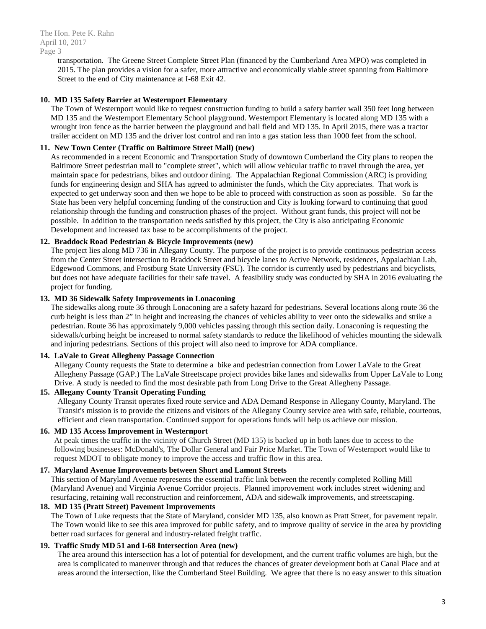The Hon. Pete K. Rahn April 10, 2017 Page 3

> transportation. The Greene Street Complete Street Plan (financed by the Cumberland Area MPO) was completed in 2015. The plan provides a vision for a safer, more attractive and economically viable street spanning from Baltimore Street to the end of City maintenance at I-68 Exit 42.

### **10. MD 135 Safety Barrier at Westernport Elementary**

The Town of Westernport would like to request construction funding to build a safety barrier wall 350 feet long between MD 135 and the Westernport Elementary School playground. Westernport Elementary is located along MD 135 with a wrought iron fence as the barrier between the playground and ball field and MD 135. In April 2015, there was a tractor trailer accident on MD 135 and the driver lost control and ran into a gas station less than 1000 feet from the school.

### **11. New Town Center (Traffic on Baltimore Street Mall) (new)**

As recommended in a recent Economic and Transportation Study of downtown Cumberland the City plans to reopen the Baltimore Street pedestrian mall to "complete street", which will allow vehicular traffic to travel through the area, yet maintain space for pedestrians, bikes and outdoor dining. The Appalachian Regional Commission (ARC) is providing funds for engineering design and SHA has agreed to administer the funds, which the City appreciates. That work is expected to get underway soon and then we hope to be able to proceed with construction as soon as possible. So far the State has been very helpful concerning funding of the construction and City is looking forward to continuing that good relationship through the funding and construction phases of the project. Without grant funds, this project will not be possible. In addition to the transportation needs satisfied by this project, the City is also anticipating Economic Development and increased tax base to be accomplishments of the project.

## **12. Braddock Road Pedestrian & Bicycle Improvements (new)**

The project lies along MD 736 in Allegany County. The purpose of the project is to provide continuous pedestrian access from the Center Street intersection to Braddock Street and bicycle lanes to Active Network, residences, Appalachian Lab, Edgewood Commons, and Frostburg State University (FSU). The corridor is currently used by pedestrians and bicyclists, but does not have adequate facilities for their safe travel. A feasibility study was conducted by SHA in 2016 evaluating the project for funding.

### **13. MD 36 Sidewalk Safety Improvements in Lonaconing**

The sidewalks along route 36 through Lonaconing are a safety hazard for pedestrians. Several locations along route 36 the curb height is less than 2" in height and increasing the chances of vehicles ability to veer onto the sidewalks and strike a pedestrian. Route 36 has approximately 9,000 vehicles passing through this section daily. Lonaconing is requesting the sidewalk/curbing height be increased to normal safety standards to reduce the likelihood of vehicles mounting the sidewalk and injuring pedestrians. Sections of this project will also need to improve for ADA compliance.

### **14. LaVale to Great Allegheny Passage Connection**

Allegany County requests the State to determine a bike and pedestrian connection from Lower LaVale to the Great Allegheny Passage (GAP.) The LaVale Streetscape project provides bike lanes and sidewalks from Upper LaVale to Long Drive. A study is needed to find the most desirable path from Long Drive to the Great Allegheny Passage.

## **15. Allegany County Transit Operating Funding**

Allegany County Transit operates fixed route service and ADA Demand Response in Allegany County, Maryland. The Transit's mission is to provide the citizens and visitors of the Allegany County service area with safe, reliable, courteous, efficient and clean transportation. Continued support for operations funds will help us achieve our mission.

### **16. MD 135 Access Improvement in Westernport**

At peak times the traffic in the vicinity of Church Street (MD 135) is backed up in both lanes due to access to the following businesses: McDonald's, The Dollar General and Fair Price Market. The Town of Westernport would like to request MDOT to obligate money to improve the access and traffic flow in this area.

### **17. Maryland Avenue Improvements between Short and Lamont Streets**

This section of Maryland Avenue represents the essential traffic link between the recently completed Rolling Mill (Maryland Avenue) and Virginia Avenue Corridor projects. Planned improvement work includes street widening and resurfacing, retaining wall reconstruction and reinforcement, ADA and sidewalk improvements, and streetscaping.

### **18. MD 135 (Pratt Street) Pavement Improvements**

The Town of Luke requests that the State of Maryland, consider MD 135, also known as Pratt Street, for pavement repair. The Town would like to see this area improved for public safety, and to improve quality of service in the area by providing better road surfaces for general and industry-related freight traffic.

### **19. Traffic Study MD 51 and I-68 Intersection Area (new)**

The area around this intersection has a lot of potential for development, and the current traffic volumes are high, but the area is complicated to maneuver through and that reduces the chances of greater development both at Canal Place and at areas around the intersection, like the Cumberland Steel Building. We agree that there is no easy answer to this situation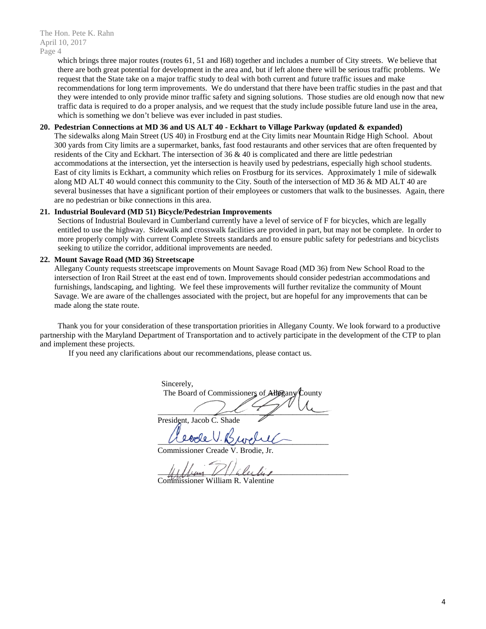which brings three major routes (routes 61, 51 and I68) together and includes a number of City streets. We believe that there are both great potential for development in the area and, but if left alone there will be serious traffic problems. We request that the State take on a major traffic study to deal with both current and future traffic issues and make recommendations for long term improvements. We do understand that there have been traffic studies in the past and that they were intended to only provide minor traffic safety and signing solutions. Those studies are old enough now that new traffic data is required to do a proper analysis, and we request that the study include possible future land use in the area, which is something we don't believe was ever included in past studies.

#### **20. Pedestrian Connections at MD 36 and US ALT 40 - Eckhart to Village Parkway (updated & expanded)**

The sidewalks along Main Street (US 40) in Frostburg end at the City limits near Mountain Ridge High School. About 300 yards from City limits are a supermarket, banks, fast food restaurants and other services that are often frequented by residents of the City and Eckhart. The intersection of 36 & 40 is complicated and there are little pedestrian accommodations at the intersection, yet the intersection is heavily used by pedestrians, especially high school students. East of city limits is Eckhart, a community which relies on Frostburg for its services. Approximately 1 mile of sidewalk along MD ALT 40 would connect this community to the City. South of the intersection of MD 36 & MD ALT 40 are several businesses that have a significant portion of their employees or customers that walk to the businesses. Again, there are no pedestrian or bike connections in this area.

#### **21. Industrial Boulevard (MD 51) Bicycle/Pedestrian Improvements**

Sections of Industrial Boulevard in Cumberland currently have a level of service of F for bicycles, which are legally entitled to use the highway. Sidewalk and crosswalk facilities are provided in part, but may not be complete. In order to more properly comply with current Complete Streets standards and to ensure public safety for pedestrians and bicyclists seeking to utilize the corridor, additional improvements are needed.

#### **22. Mount Savage Road (MD 36) Streetscape**

Allegany County requests streetscape improvements on Mount Savage Road (MD 36) from New School Road to the intersection of Iron Rail Street at the east end of town. Improvements should consider pedestrian accommodations and furnishings, landscaping, and lighting. We feel these improvements will further revitalize the community of Mount Savage. We are aware of the challenges associated with the project, but are hopeful for any improvements that can be made along the state route.

Thank you for your consideration of these transportation priorities in Allegany County. We look forward to a productive partnership with the Maryland Department of Transportation and to actively participate in the development of the CTP to plan and implement these projects.

If you need any clarifications about our recommendations, please contact us.

Sincerely, The Board of Commissioners of Allegany County  $\overline{\phantom{a}}$ President, Jacob C. Shade

 $\sim$ 

Commissioner Creade V. Brodie,

 $\#$ Commissioner William R. Valentine